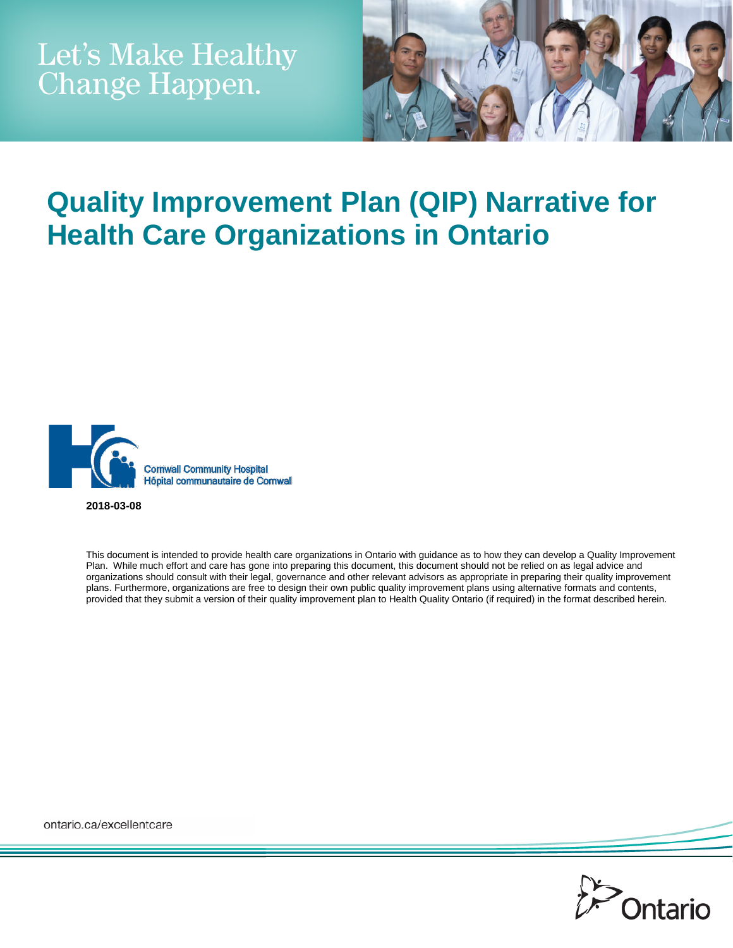

# **Quality Improvement Plan (QIP) Narrative for Health Care Organizations in Ontario**



**2018-03-08**

This document is intended to provide health care organizations in Ontario with guidance as to how they can develop a Quality Improvement Plan. While much effort and care has gone into preparing this document, this document should not be relied on as legal advice and organizations should consult with their legal, governance and other relevant advisors as appropriate in preparing their quality improvement plans. Furthermore, organizations are free to design their own public quality improvement plans using alternative formats and contents, provided that they submit a version of their quality improvement plan to Health Quality Ontario (if required) in the format described herein.

ontario.ca/excellentcare

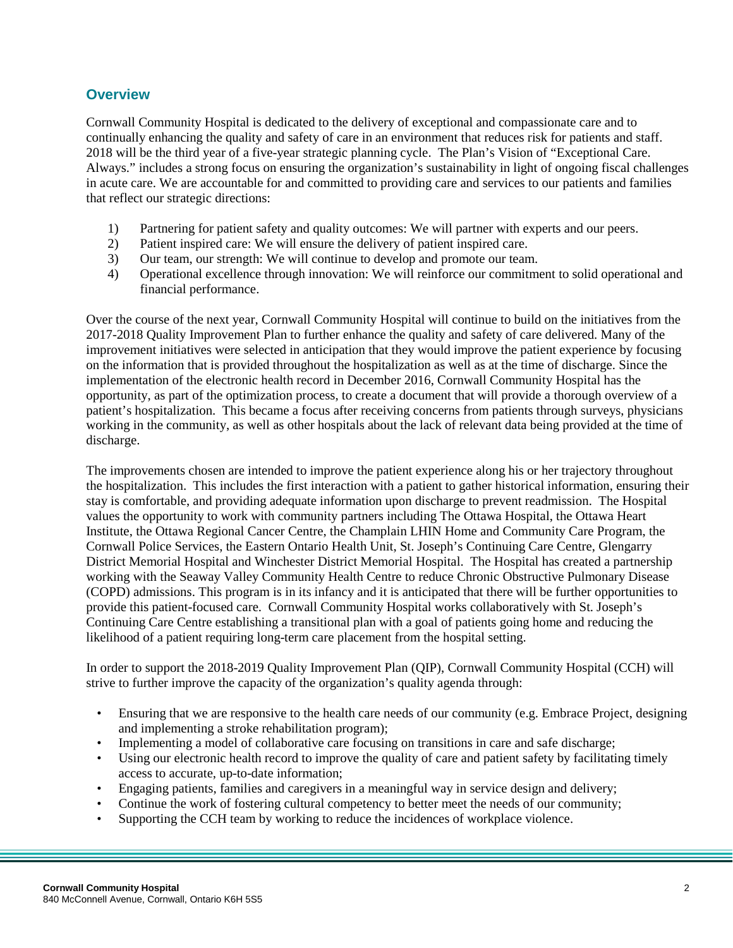#### **Overview**

Cornwall Community Hospital is dedicated to the delivery of exceptional and compassionate care and to continually enhancing the quality and safety of care in an environment that reduces risk for patients and staff. 2018 will be the third year of a five-year strategic planning cycle. The Plan's Vision of "Exceptional Care. Always." includes a strong focus on ensuring the organization's sustainability in light of ongoing fiscal challenges in acute care. We are accountable for and committed to providing care and services to our patients and families that reflect our strategic directions:

- 1) Partnering for patient safety and quality outcomes: We will partner with experts and our peers.
- 2) Patient inspired care: We will ensure the delivery of patient inspired care.
- 3) Our team, our strength: We will continue to develop and promote our team.
- 4) Operational excellence through innovation: We will reinforce our commitment to solid operational and financial performance.

Over the course of the next year, Cornwall Community Hospital will continue to build on the initiatives from the 2017-2018 Quality Improvement Plan to further enhance the quality and safety of care delivered. Many of the improvement initiatives were selected in anticipation that they would improve the patient experience by focusing on the information that is provided throughout the hospitalization as well as at the time of discharge. Since the implementation of the electronic health record in December 2016, Cornwall Community Hospital has the opportunity, as part of the optimization process, to create a document that will provide a thorough overview of a patient's hospitalization. This became a focus after receiving concerns from patients through surveys, physicians working in the community, as well as other hospitals about the lack of relevant data being provided at the time of discharge.

The improvements chosen are intended to improve the patient experience along his or her trajectory throughout the hospitalization. This includes the first interaction with a patient to gather historical information, ensuring their stay is comfortable, and providing adequate information upon discharge to prevent readmission. The Hospital values the opportunity to work with community partners including The Ottawa Hospital, the Ottawa Heart Institute, the Ottawa Regional Cancer Centre, the Champlain LHIN Home and Community Care Program, the Cornwall Police Services, the Eastern Ontario Health Unit, St. Joseph's Continuing Care Centre, Glengarry District Memorial Hospital and Winchester District Memorial Hospital. The Hospital has created a partnership working with the Seaway Valley Community Health Centre to reduce Chronic Obstructive Pulmonary Disease (COPD) admissions. This program is in its infancy and it is anticipated that there will be further opportunities to provide this patient-focused care. Cornwall Community Hospital works collaboratively with St. Joseph's Continuing Care Centre establishing a transitional plan with a goal of patients going home and reducing the likelihood of a patient requiring long-term care placement from the hospital setting.

In order to support the 2018-2019 Quality Improvement Plan (QIP), Cornwall Community Hospital (CCH) will strive to further improve the capacity of the organization's quality agenda through:

- Ensuring that we are responsive to the health care needs of our community (e.g. Embrace Project, designing and implementing a stroke rehabilitation program);
- Implementing a model of collaborative care focusing on transitions in care and safe discharge;
- Using our electronic health record to improve the quality of care and patient safety by facilitating timely access to accurate, up-to-date information;
- Engaging patients, families and caregivers in a meaningful way in service design and delivery;
- Continue the work of fostering cultural competency to better meet the needs of our community;
- Supporting the CCH team by working to reduce the incidences of workplace violence.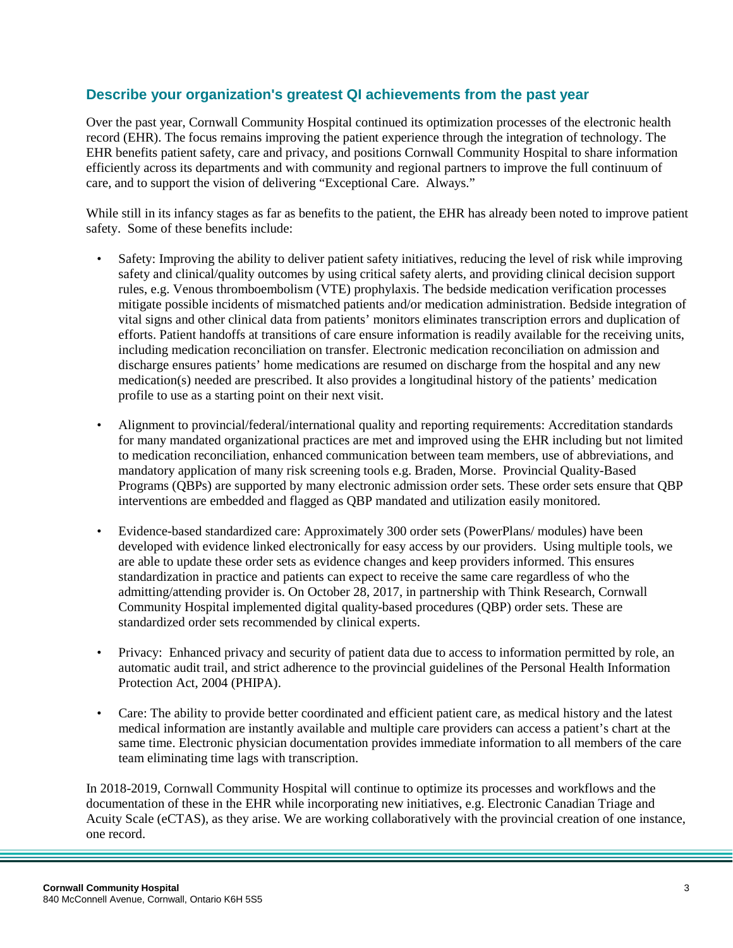#### **Describe your organization's greatest QI achievements from the past year**

Over the past year, Cornwall Community Hospital continued its optimization processes of the electronic health record (EHR). The focus remains improving the patient experience through the integration of technology. The EHR benefits patient safety, care and privacy, and positions Cornwall Community Hospital to share information efficiently across its departments and with community and regional partners to improve the full continuum of care, and to support the vision of delivering "Exceptional Care. Always."

While still in its infancy stages as far as benefits to the patient, the EHR has already been noted to improve patient safety. Some of these benefits include:

- Safety: Improving the ability to deliver patient safety initiatives, reducing the level of risk while improving safety and clinical/quality outcomes by using critical safety alerts, and providing clinical decision support rules, e.g. Venous thromboembolism (VTE) prophylaxis. The bedside medication verification processes mitigate possible incidents of mismatched patients and/or medication administration. Bedside integration of vital signs and other clinical data from patients' monitors eliminates transcription errors and duplication of efforts. Patient handoffs at transitions of care ensure information is readily available for the receiving units, including medication reconciliation on transfer. Electronic medication reconciliation on admission and discharge ensures patients' home medications are resumed on discharge from the hospital and any new medication(s) needed are prescribed. It also provides a longitudinal history of the patients' medication profile to use as a starting point on their next visit.
- Alignment to provincial/federal/international quality and reporting requirements: Accreditation standards for many mandated organizational practices are met and improved using the EHR including but not limited to medication reconciliation, enhanced communication between team members, use of abbreviations, and mandatory application of many risk screening tools e.g. Braden, Morse. Provincial Quality-Based Programs (QBPs) are supported by many electronic admission order sets. These order sets ensure that QBP interventions are embedded and flagged as QBP mandated and utilization easily monitored.
- Evidence-based standardized care: Approximately 300 order sets (PowerPlans/ modules) have been developed with evidence linked electronically for easy access by our providers. Using multiple tools, we are able to update these order sets as evidence changes and keep providers informed. This ensures standardization in practice and patients can expect to receive the same care regardless of who the admitting/attending provider is. On October 28, 2017, in partnership with Think Research, Cornwall Community Hospital implemented digital quality-based procedures (QBP) order sets. These are standardized order sets recommended by clinical experts.
- Privacy: Enhanced privacy and security of patient data due to access to information permitted by role, an automatic audit trail, and strict adherence to the provincial guidelines of the Personal Health Information Protection Act, 2004 (PHIPA).
- Care: The ability to provide better coordinated and efficient patient care, as medical history and the latest medical information are instantly available and multiple care providers can access a patient's chart at the same time. Electronic physician documentation provides immediate information to all members of the care team eliminating time lags with transcription.

In 2018-2019, Cornwall Community Hospital will continue to optimize its processes and workflows and the documentation of these in the EHR while incorporating new initiatives, e.g. Electronic Canadian Triage and Acuity Scale (eCTAS), as they arise. We are working collaboratively with the provincial creation of one instance, one record.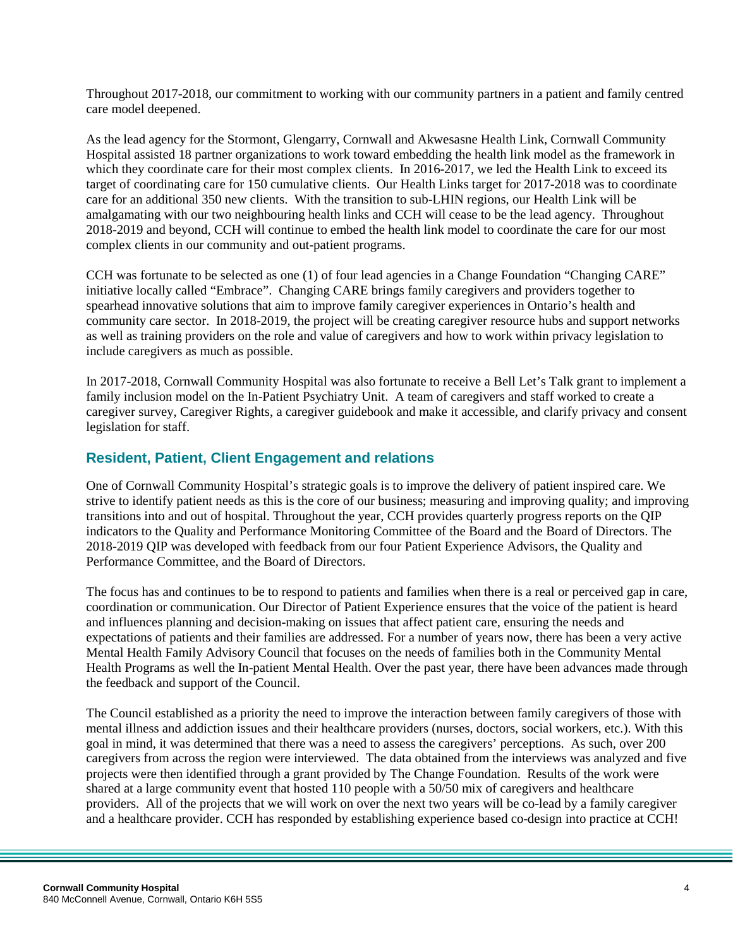Throughout 2017-2018, our commitment to working with our community partners in a patient and family centred care model deepened.

As the lead agency for the Stormont, Glengarry, Cornwall and Akwesasne Health Link, Cornwall Community Hospital assisted 18 partner organizations to work toward embedding the health link model as the framework in which they coordinate care for their most complex clients. In 2016-2017, we led the Health Link to exceed its target of coordinating care for 150 cumulative clients. Our Health Links target for 2017-2018 was to coordinate care for an additional 350 new clients. With the transition to sub-LHIN regions, our Health Link will be amalgamating with our two neighbouring health links and CCH will cease to be the lead agency. Throughout 2018-2019 and beyond, CCH will continue to embed the health link model to coordinate the care for our most complex clients in our community and out-patient programs.

CCH was fortunate to be selected as one (1) of four lead agencies in a Change Foundation "Changing CARE" initiative locally called "Embrace". Changing CARE brings family caregivers and providers together to spearhead innovative solutions that aim to improve family caregiver experiences in Ontario's health and community care sector. In 2018-2019, the project will be creating caregiver resource hubs and support networks as well as training providers on the role and value of caregivers and how to work within privacy legislation to include caregivers as much as possible.

In 2017-2018, Cornwall Community Hospital was also fortunate to receive a Bell Let's Talk grant to implement a family inclusion model on the In-Patient Psychiatry Unit. A team of caregivers and staff worked to create a caregiver survey, Caregiver Rights, a caregiver guidebook and make it accessible, and clarify privacy and consent legislation for staff.

#### **Resident, Patient, Client Engagement and relations**

One of Cornwall Community Hospital's strategic goals is to improve the delivery of patient inspired care. We strive to identify patient needs as this is the core of our business; measuring and improving quality; and improving transitions into and out of hospital. Throughout the year, CCH provides quarterly progress reports on the QIP indicators to the Quality and Performance Monitoring Committee of the Board and the Board of Directors. The 2018-2019 QIP was developed with feedback from our four Patient Experience Advisors, the Quality and Performance Committee, and the Board of Directors.

The focus has and continues to be to respond to patients and families when there is a real or perceived gap in care, coordination or communication. Our Director of Patient Experience ensures that the voice of the patient is heard and influences planning and decision-making on issues that affect patient care, ensuring the needs and expectations of patients and their families are addressed. For a number of years now, there has been a very active Mental Health Family Advisory Council that focuses on the needs of families both in the Community Mental Health Programs as well the In-patient Mental Health. Over the past year, there have been advances made through the feedback and support of the Council.

The Council established as a priority the need to improve the interaction between family caregivers of those with mental illness and addiction issues and their healthcare providers (nurses, doctors, social workers, etc.). With this goal in mind, it was determined that there was a need to assess the caregivers' perceptions. As such, over 200 caregivers from across the region were interviewed. The data obtained from the interviews was analyzed and five projects were then identified through a grant provided by The Change Foundation. Results of the work were shared at a large community event that hosted 110 people with a 50/50 mix of caregivers and healthcare providers. All of the projects that we will work on over the next two years will be co-lead by a family caregiver and a healthcare provider. CCH has responded by establishing experience based co-design into practice at CCH!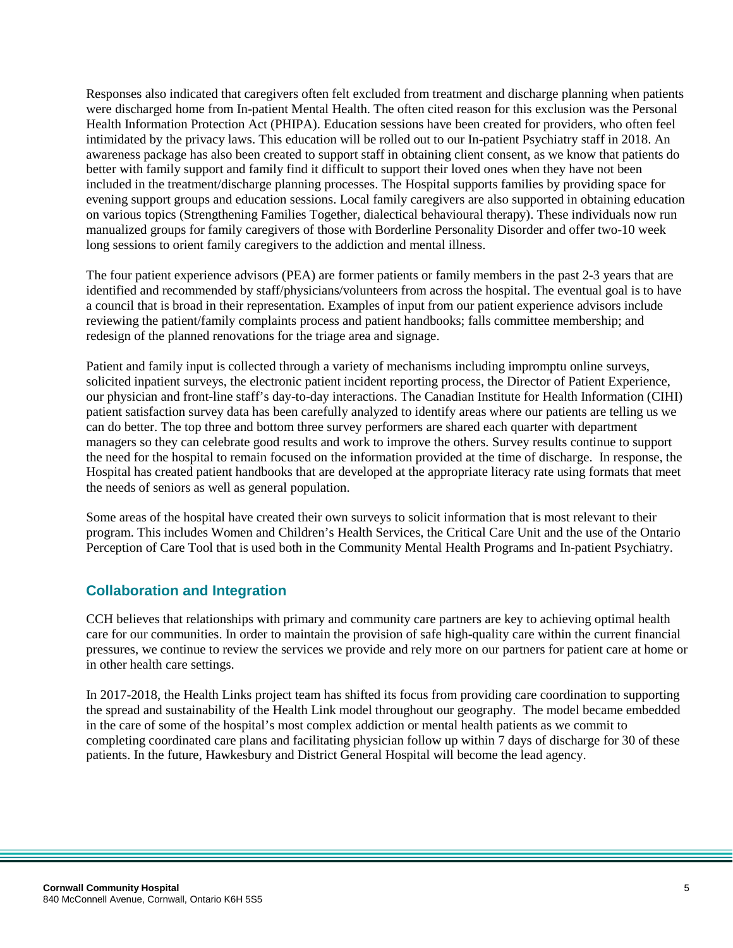Responses also indicated that caregivers often felt excluded from treatment and discharge planning when patients were discharged home from In-patient Mental Health. The often cited reason for this exclusion was the Personal Health Information Protection Act (PHIPA). Education sessions have been created for providers, who often feel intimidated by the privacy laws. This education will be rolled out to our In-patient Psychiatry staff in 2018. An awareness package has also been created to support staff in obtaining client consent, as we know that patients do better with family support and family find it difficult to support their loved ones when they have not been included in the treatment/discharge planning processes. The Hospital supports families by providing space for evening support groups and education sessions. Local family caregivers are also supported in obtaining education on various topics (Strengthening Families Together, dialectical behavioural therapy). These individuals now run manualized groups for family caregivers of those with Borderline Personality Disorder and offer two-10 week long sessions to orient family caregivers to the addiction and mental illness.

The four patient experience advisors (PEA) are former patients or family members in the past 2-3 years that are identified and recommended by staff/physicians/volunteers from across the hospital. The eventual goal is to have a council that is broad in their representation. Examples of input from our patient experience advisors include reviewing the patient/family complaints process and patient handbooks; falls committee membership; and redesign of the planned renovations for the triage area and signage.

Patient and family input is collected through a variety of mechanisms including impromptu online surveys, solicited inpatient surveys, the electronic patient incident reporting process, the Director of Patient Experience, our physician and front-line staff's day-to-day interactions. The Canadian Institute for Health Information (CIHI) patient satisfaction survey data has been carefully analyzed to identify areas where our patients are telling us we can do better. The top three and bottom three survey performers are shared each quarter with department managers so they can celebrate good results and work to improve the others. Survey results continue to support the need for the hospital to remain focused on the information provided at the time of discharge. In response, the Hospital has created patient handbooks that are developed at the appropriate literacy rate using formats that meet the needs of seniors as well as general population.

Some areas of the hospital have created their own surveys to solicit information that is most relevant to their program. This includes Women and Children's Health Services, the Critical Care Unit and the use of the Ontario Perception of Care Tool that is used both in the Community Mental Health Programs and In-patient Psychiatry.

# **Collaboration and Integration**

CCH believes that relationships with primary and community care partners are key to achieving optimal health care for our communities. In order to maintain the provision of safe high-quality care within the current financial pressures, we continue to review the services we provide and rely more on our partners for patient care at home or in other health care settings.

In 2017-2018, the Health Links project team has shifted its focus from providing care coordination to supporting the spread and sustainability of the Health Link model throughout our geography. The model became embedded in the care of some of the hospital's most complex addiction or mental health patients as we commit to completing coordinated care plans and facilitating physician follow up within 7 days of discharge for 30 of these patients. In the future, Hawkesbury and District General Hospital will become the lead agency.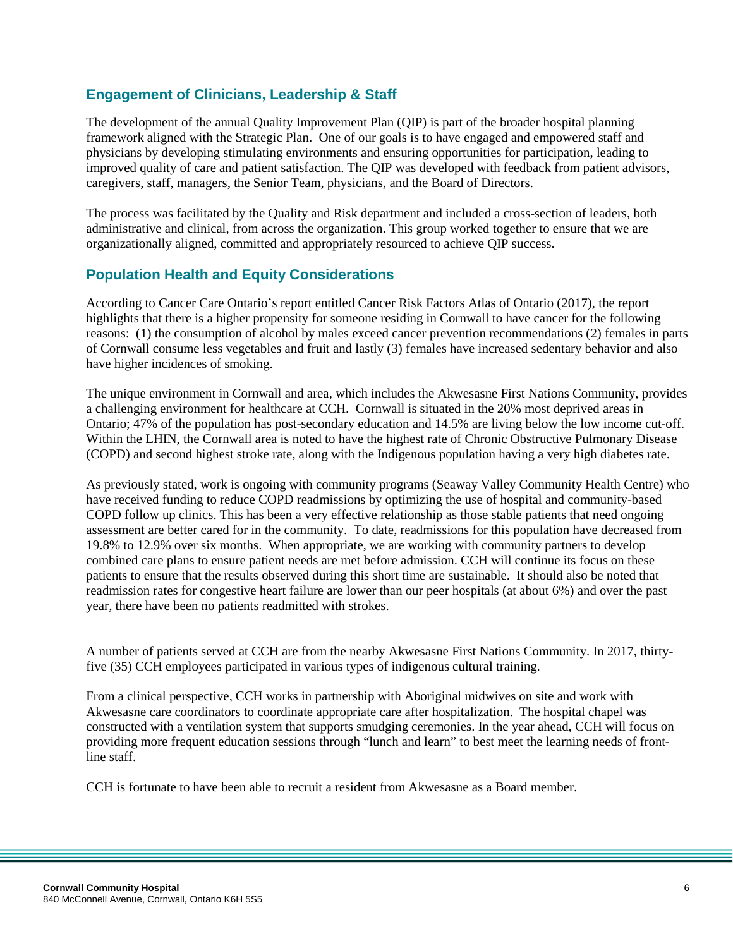#### **Engagement of Clinicians, Leadership & Staff**

The development of the annual Quality Improvement Plan (QIP) is part of the broader hospital planning framework aligned with the Strategic Plan. One of our goals is to have engaged and empowered staff and physicians by developing stimulating environments and ensuring opportunities for participation, leading to improved quality of care and patient satisfaction. The QIP was developed with feedback from patient advisors, caregivers, staff, managers, the Senior Team, physicians, and the Board of Directors.

The process was facilitated by the Quality and Risk department and included a cross-section of leaders, both administrative and clinical, from across the organization. This group worked together to ensure that we are organizationally aligned, committed and appropriately resourced to achieve QIP success.

#### **Population Health and Equity Considerations**

According to Cancer Care Ontario's report entitled Cancer Risk Factors Atlas of Ontario (2017), the report highlights that there is a higher propensity for someone residing in Cornwall to have cancer for the following reasons: (1) the consumption of alcohol by males exceed cancer prevention recommendations (2) females in parts of Cornwall consume less vegetables and fruit and lastly (3) females have increased sedentary behavior and also have higher incidences of smoking.

The unique environment in Cornwall and area, which includes the Akwesasne First Nations Community, provides a challenging environment for healthcare at CCH. Cornwall is situated in the 20% most deprived areas in Ontario; 47% of the population has post-secondary education and 14.5% are living below the low income cut-off. Within the LHIN, the Cornwall area is noted to have the highest rate of Chronic Obstructive Pulmonary Disease (COPD) and second highest stroke rate, along with the Indigenous population having a very high diabetes rate.

As previously stated, work is ongoing with community programs (Seaway Valley Community Health Centre) who have received funding to reduce COPD readmissions by optimizing the use of hospital and community-based COPD follow up clinics. This has been a very effective relationship as those stable patients that need ongoing assessment are better cared for in the community. To date, readmissions for this population have decreased from 19.8% to 12.9% over six months. When appropriate, we are working with community partners to develop combined care plans to ensure patient needs are met before admission. CCH will continue its focus on these patients to ensure that the results observed during this short time are sustainable. It should also be noted that readmission rates for congestive heart failure are lower than our peer hospitals (at about 6%) and over the past year, there have been no patients readmitted with strokes.

A number of patients served at CCH are from the nearby Akwesasne First Nations Community. In 2017, thirtyfive (35) CCH employees participated in various types of indigenous cultural training.

From a clinical perspective, CCH works in partnership with Aboriginal midwives on site and work with Akwesasne care coordinators to coordinate appropriate care after hospitalization. The hospital chapel was constructed with a ventilation system that supports smudging ceremonies. In the year ahead, CCH will focus on providing more frequent education sessions through "lunch and learn" to best meet the learning needs of frontline staff.

CCH is fortunate to have been able to recruit a resident from Akwesasne as a Board member.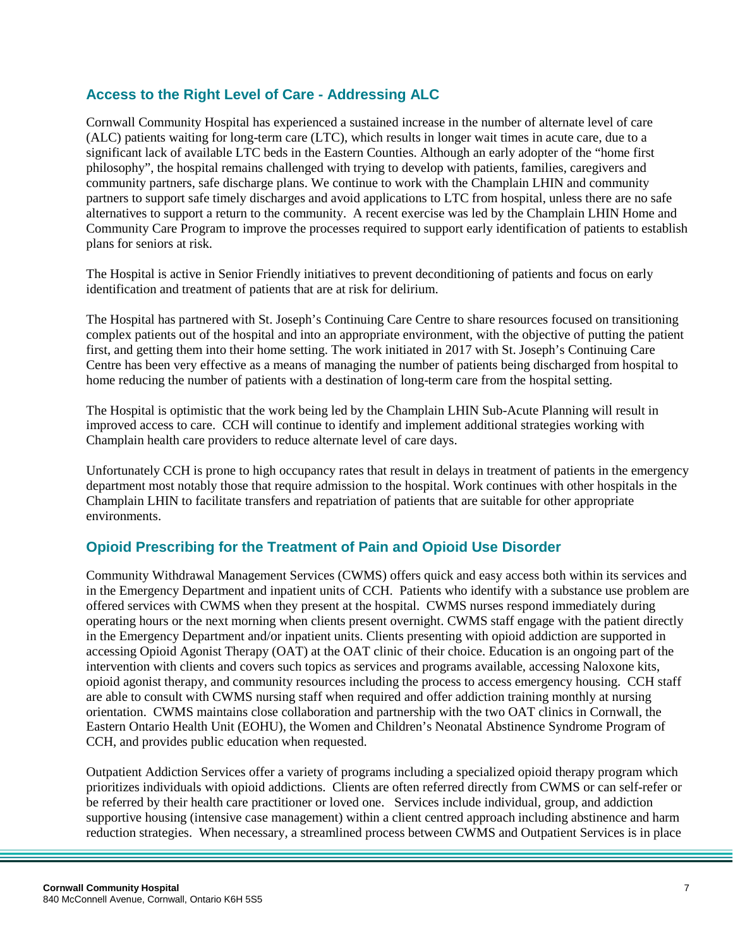#### **Access to the Right Level of Care - Addressing ALC**

Cornwall Community Hospital has experienced a sustained increase in the number of alternate level of care (ALC) patients waiting for long-term care (LTC), which results in longer wait times in acute care, due to a significant lack of available LTC beds in the Eastern Counties. Although an early adopter of the "home first philosophy", the hospital remains challenged with trying to develop with patients, families, caregivers and community partners, safe discharge plans. We continue to work with the Champlain LHIN and community partners to support safe timely discharges and avoid applications to LTC from hospital, unless there are no safe alternatives to support a return to the community. A recent exercise was led by the Champlain LHIN Home and Community Care Program to improve the processes required to support early identification of patients to establish plans for seniors at risk.

The Hospital is active in Senior Friendly initiatives to prevent deconditioning of patients and focus on early identification and treatment of patients that are at risk for delirium.

The Hospital has partnered with St. Joseph's Continuing Care Centre to share resources focused on transitioning complex patients out of the hospital and into an appropriate environment, with the objective of putting the patient first, and getting them into their home setting. The work initiated in 2017 with St. Joseph's Continuing Care Centre has been very effective as a means of managing the number of patients being discharged from hospital to home reducing the number of patients with a destination of long-term care from the hospital setting.

The Hospital is optimistic that the work being led by the Champlain LHIN Sub-Acute Planning will result in improved access to care. CCH will continue to identify and implement additional strategies working with Champlain health care providers to reduce alternate level of care days.

Unfortunately CCH is prone to high occupancy rates that result in delays in treatment of patients in the emergency department most notably those that require admission to the hospital. Work continues with other hospitals in the Champlain LHIN to facilitate transfers and repatriation of patients that are suitable for other appropriate environments.

# **Opioid Prescribing for the Treatment of Pain and Opioid Use Disorder**

Community Withdrawal Management Services (CWMS) offers quick and easy access both within its services and in the Emergency Department and inpatient units of CCH. Patients who identify with a substance use problem are offered services with CWMS when they present at the hospital. CWMS nurses respond immediately during operating hours or the next morning when clients present overnight. CWMS staff engage with the patient directly in the Emergency Department and/or inpatient units. Clients presenting with opioid addiction are supported in accessing Opioid Agonist Therapy (OAT) at the OAT clinic of their choice. Education is an ongoing part of the intervention with clients and covers such topics as services and programs available, accessing Naloxone kits, opioid agonist therapy, and community resources including the process to access emergency housing. CCH staff are able to consult with CWMS nursing staff when required and offer addiction training monthly at nursing orientation. CWMS maintains close collaboration and partnership with the two OAT clinics in Cornwall, the Eastern Ontario Health Unit (EOHU), the Women and Children's Neonatal Abstinence Syndrome Program of CCH, and provides public education when requested.

Outpatient Addiction Services offer a variety of programs including a specialized opioid therapy program which prioritizes individuals with opioid addictions. Clients are often referred directly from CWMS or can self-refer or be referred by their health care practitioner or loved one. Services include individual, group, and addiction supportive housing (intensive case management) within a client centred approach including abstinence and harm reduction strategies. When necessary, a streamlined process between CWMS and Outpatient Services is in place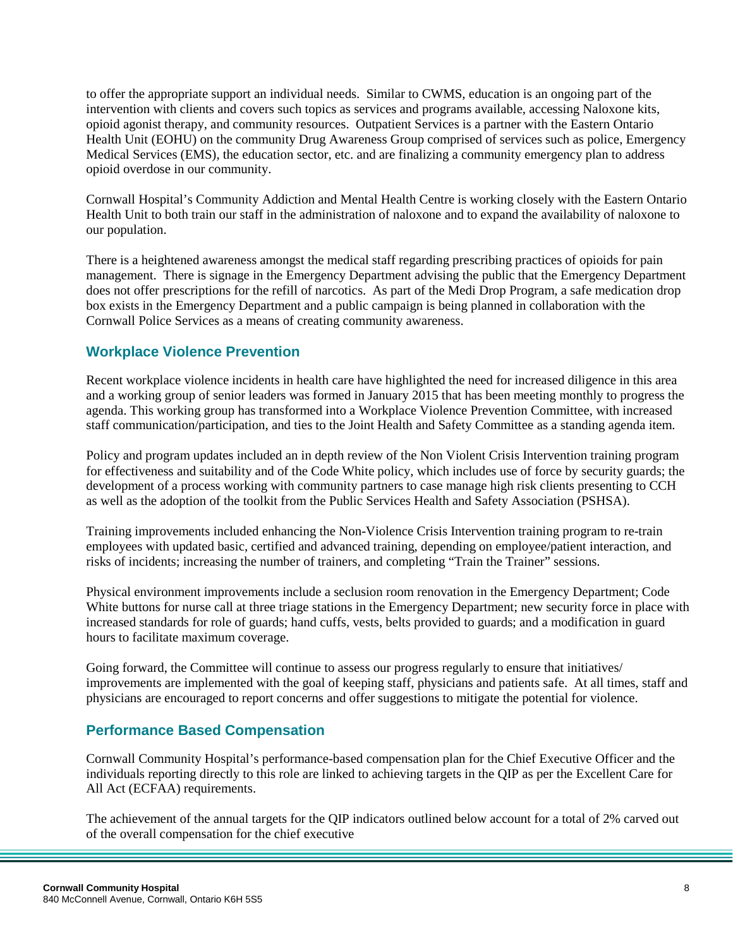to offer the appropriate support an individual needs. Similar to CWMS, education is an ongoing part of the intervention with clients and covers such topics as services and programs available, accessing Naloxone kits, opioid agonist therapy, and community resources. Outpatient Services is a partner with the Eastern Ontario Health Unit (EOHU) on the community Drug Awareness Group comprised of services such as police, Emergency Medical Services (EMS), the education sector, etc. and are finalizing a community emergency plan to address opioid overdose in our community.

Cornwall Hospital's Community Addiction and Mental Health Centre is working closely with the Eastern Ontario Health Unit to both train our staff in the administration of naloxone and to expand the availability of naloxone to our population.

There is a heightened awareness amongst the medical staff regarding prescribing practices of opioids for pain management. There is signage in the Emergency Department advising the public that the Emergency Department does not offer prescriptions for the refill of narcotics. As part of the Medi Drop Program, a safe medication drop box exists in the Emergency Department and a public campaign is being planned in collaboration with the Cornwall Police Services as a means of creating community awareness.

# **Workplace Violence Prevention**

Recent workplace violence incidents in health care have highlighted the need for increased diligence in this area and a working group of senior leaders was formed in January 2015 that has been meeting monthly to progress the agenda. This working group has transformed into a Workplace Violence Prevention Committee, with increased staff communication/participation, and ties to the Joint Health and Safety Committee as a standing agenda item.

Policy and program updates included an in depth review of the Non Violent Crisis Intervention training program for effectiveness and suitability and of the Code White policy, which includes use of force by security guards; the development of a process working with community partners to case manage high risk clients presenting to CCH as well as the adoption of the toolkit from the Public Services Health and Safety Association (PSHSA).

Training improvements included enhancing the Non-Violence Crisis Intervention training program to re-train employees with updated basic, certified and advanced training, depending on employee/patient interaction, and risks of incidents; increasing the number of trainers, and completing "Train the Trainer" sessions.

Physical environment improvements include a seclusion room renovation in the Emergency Department; Code White buttons for nurse call at three triage stations in the Emergency Department; new security force in place with increased standards for role of guards; hand cuffs, vests, belts provided to guards; and a modification in guard hours to facilitate maximum coverage.

Going forward, the Committee will continue to assess our progress regularly to ensure that initiatives/ improvements are implemented with the goal of keeping staff, physicians and patients safe. At all times, staff and physicians are encouraged to report concerns and offer suggestions to mitigate the potential for violence.

# **Performance Based Compensation**

Cornwall Community Hospital's performance-based compensation plan for the Chief Executive Officer and the individuals reporting directly to this role are linked to achieving targets in the QIP as per the Excellent Care for All Act (ECFAA) requirements.

The achievement of the annual targets for the QIP indicators outlined below account for a total of 2% carved out of the overall compensation for the chief executive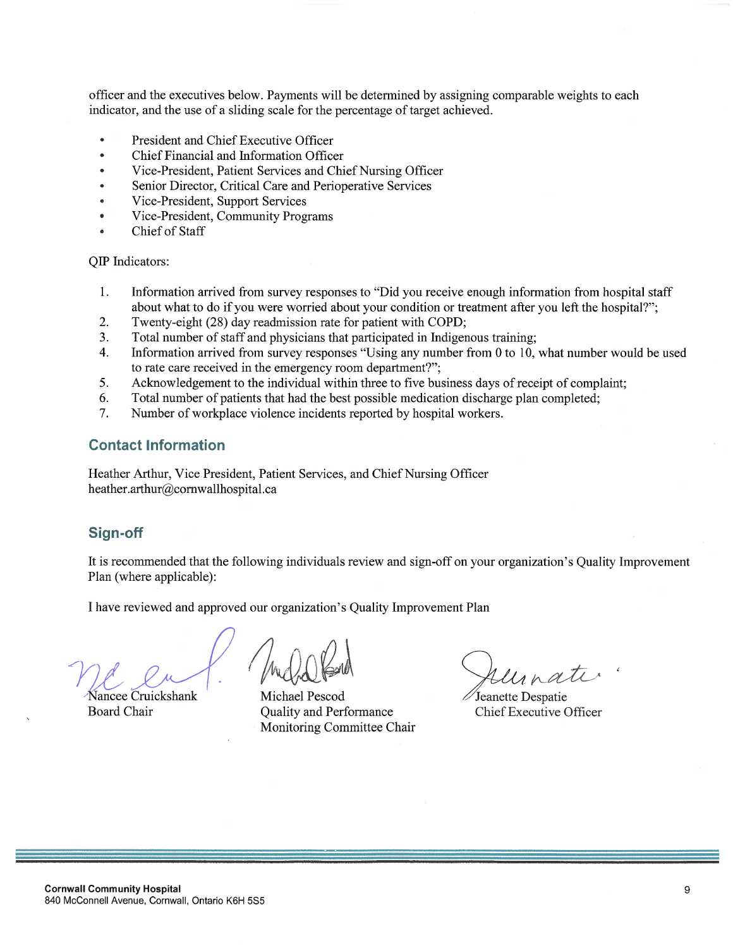officer and the executives below. Payments will be determined by assigning comparable weights to each indicator, and the use of a sliding scale for the percentage of target achieved.

- President and Chief Executive Officer
- Chief Financial and Information Officer
- Vice-President, Patient Services and Chief Nursing Officer
- Senior Director, Critical Care and Perioperative Services
- Vice-President, Support Services
- Vice-President, Community Programs
- Chief of Staff

QIP Indicators:

- 1. Information arrived from survey responses to "Did you receive enough information from hospital staff about what to do if you were worried about your condition or treatment after you left the hospital?";
- $\overline{2}$ . Twenty-eight (28) day readmission rate for patient with COPD;
- $3.$ Total number of staff and physicians that participated in Indigenous training;
- Information arrived from survey responses "Using any number from 0 to 10, what number would be used  $\overline{4}$ . to rate care received in the emergency room department?";
- 5. Acknowledgement to the individual within three to five business days of receipt of complaint;
- Total number of patients that had the best possible medication discharge plan completed; 6.
- Number of workplace violence incidents reported by hospital workers. 7.

#### **Contact Information**

Heather Arthur, Vice President, Patient Services, and Chief Nursing Officer heather.arthur@cornwallhospital.ca

#### Sign-off

It is recommended that the following individuals review and sign-off on your organization's Quality Improvement Plan (where applicable):

I have reviewed and approved our organization's Quality Improvement Plan

Nancee Cruickshank **Board Chair** 

Michael Pescod Quality and Performance Monitoring Committee Chair

Uinate.

Jeanette Despatie Chief Executive Officer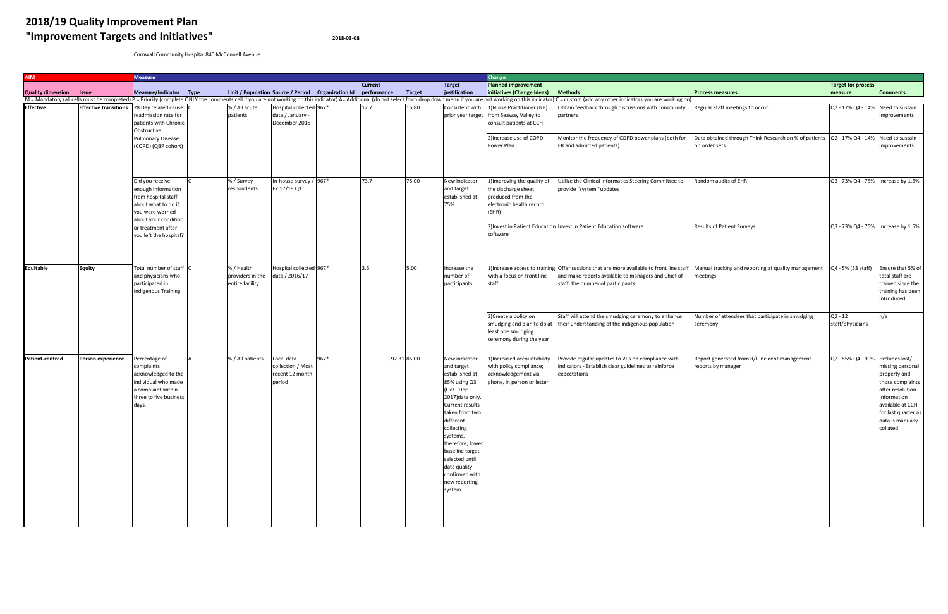# **2018/19 Quality Improvement Plan "Improvement Targets and Initiatives" 2018-03-08**

Cornwall Community Hospital 840 McConnell Avenue

|                                |                              | <b>Measure</b>           |  |                  |                                                               |      |               |                            |                        | <b>Change</b>               |                                                                                                                                                                                                                                |                                                                                             |                                    |                     |
|--------------------------------|------------------------------|--------------------------|--|------------------|---------------------------------------------------------------|------|---------------|----------------------------|------------------------|-----------------------------|--------------------------------------------------------------------------------------------------------------------------------------------------------------------------------------------------------------------------------|---------------------------------------------------------------------------------------------|------------------------------------|---------------------|
|                                |                              |                          |  |                  | <b>Current</b>                                                |      | <b>Target</b> | <b>Planned improvement</b> |                        |                             | <b>Target for process</b>                                                                                                                                                                                                      |                                                                                             |                                    |                     |
| <b>Quality dimension</b> Issue |                              | Measure/Indicator Type   |  |                  | Unit / Population Source / Period Organization Id performance |      |               | <b>Target</b>              | justification          | initiatives (Change Ideas)  | <b>Methods</b>                                                                                                                                                                                                                 | <b>Process measures</b>                                                                     | measure                            | <b>Comments</b>     |
|                                |                              |                          |  |                  |                                                               |      |               |                            |                        |                             | M = Mandatory (all cells must be completed) P = Priority (complete ONLY the comments cell if you are not working on this indicator) A= Additional (do not select from drop down menu if you are not working on this indicator) |                                                                                             |                                    |                     |
| <b>Effective</b>               | <b>Effective transitions</b> | 28 Day related cause     |  | % / All acute    | Hospital collected 967*                                       |      | 12.7          | 15.80                      | Consistent with        | 1) Nurse Practitioner (NP)  | Obtain feedback through discussions with community                                                                                                                                                                             | Regular staff meetings to occur                                                             | Q2 - 17% Q4 - 14% Need to sustain  |                     |
|                                |                              | readmission rate for     |  | patients         | data / January -                                              |      |               |                            | prior year target      | from Seaway Valley to       | partners                                                                                                                                                                                                                       |                                                                                             |                                    | improvements        |
|                                |                              | patients with Chronic    |  |                  | December 2016                                                 |      |               |                            |                        | consult patients at CCH     |                                                                                                                                                                                                                                |                                                                                             |                                    |                     |
|                                |                              | Obstructive              |  |                  |                                                               |      |               |                            |                        |                             |                                                                                                                                                                                                                                |                                                                                             |                                    |                     |
|                                |                              | <b>Pulmonary Disease</b> |  |                  |                                                               |      |               |                            |                        | 2) Increase use of COPD     | Monitor the frequency of COPD power plans (both for                                                                                                                                                                            | Data obtained through Think Research on % of patients   Q2 - 17% Q4 - 14%   Need to sustain |                                    |                     |
|                                |                              | (COPD) (QBP cohort)      |  |                  |                                                               |      |               |                            |                        | Power Plan                  | ER and admitted patients)                                                                                                                                                                                                      | on order sets                                                                               |                                    | improvements        |
|                                |                              |                          |  |                  |                                                               |      |               |                            |                        |                             |                                                                                                                                                                                                                                |                                                                                             |                                    |                     |
|                                |                              |                          |  |                  |                                                               |      |               |                            |                        |                             |                                                                                                                                                                                                                                |                                                                                             |                                    |                     |
|                                |                              |                          |  |                  |                                                               |      |               |                            |                        |                             |                                                                                                                                                                                                                                |                                                                                             |                                    |                     |
|                                |                              |                          |  |                  |                                                               |      |               |                            |                        |                             |                                                                                                                                                                                                                                |                                                                                             |                                    |                     |
|                                |                              | Did you receive          |  | % / Survey       | In-house survey / 967*                                        |      | 73.7          | 75.00                      | New indicator          | 1) Improving the quality of | Utilize the Clinical Informatics Steering Committee to                                                                                                                                                                         | Random audits of EHR                                                                        | Q3 - 73% Q4 - 75% Increase by 1.5% |                     |
|                                |                              | enough information       |  | respondents      | FY 17/18 Q1                                                   |      |               |                            | and target             | the discharge sheet         | provide "system" updates                                                                                                                                                                                                       |                                                                                             |                                    |                     |
|                                |                              | from hospital staff      |  |                  |                                                               |      |               |                            | established at         | produced from the           |                                                                                                                                                                                                                                |                                                                                             |                                    |                     |
|                                |                              | about what to do if      |  |                  |                                                               |      |               |                            | 75%                    | electronic health record    |                                                                                                                                                                                                                                |                                                                                             |                                    |                     |
|                                |                              | you were worried         |  |                  |                                                               |      |               |                            |                        | (EHR)                       |                                                                                                                                                                                                                                |                                                                                             |                                    |                     |
|                                |                              | about your condition     |  |                  |                                                               |      |               |                            |                        |                             |                                                                                                                                                                                                                                |                                                                                             |                                    |                     |
|                                |                              | or treatment after       |  |                  |                                                               |      |               |                            |                        |                             | 2) Invest in Patient Education Invest in Patient Education software                                                                                                                                                            | Results of Patient Surveys                                                                  | Q3 - 73% Q4 - 75% Increase by 1.5% |                     |
|                                |                              | you left the hospital?   |  |                  |                                                               |      |               |                            |                        | software                    |                                                                                                                                                                                                                                |                                                                                             |                                    |                     |
|                                |                              |                          |  |                  |                                                               |      |               |                            |                        |                             |                                                                                                                                                                                                                                |                                                                                             |                                    |                     |
|                                |                              |                          |  |                  |                                                               |      |               |                            |                        |                             |                                                                                                                                                                                                                                |                                                                                             |                                    |                     |
|                                |                              |                          |  |                  |                                                               |      |               |                            |                        |                             |                                                                                                                                                                                                                                |                                                                                             |                                    |                     |
| <b>Equitable</b>               |                              | Total number of staff C  |  | % / Health       | Hospital collected 967*                                       |      | 3.6           | 5.00                       |                        |                             | 1) Increase access to training Offer sessions that are more available to front line staff                                                                                                                                      | Manual tracking and reporting at quality management   Q4 - 5% (53 staff)                    |                                    | Ensure that 5% of   |
|                                | <b>Equity</b>                |                          |  |                  |                                                               |      |               |                            | Increase the           |                             |                                                                                                                                                                                                                                |                                                                                             |                                    |                     |
|                                |                              | and physicians who       |  | providers in the | data / 2016/17                                                |      |               |                            | number of              | with a focus on front line  | and make reports available to managers and Chief of                                                                                                                                                                            | meetings                                                                                    |                                    | total staff are     |
|                                |                              | participated in          |  | entire facility  |                                                               |      |               |                            | participants           | staff                       | staff, the number of participants                                                                                                                                                                                              |                                                                                             |                                    | trained since the   |
|                                |                              | Indigenous Training.     |  |                  |                                                               |      |               |                            |                        |                             |                                                                                                                                                                                                                                |                                                                                             |                                    | training has been   |
|                                |                              |                          |  |                  |                                                               |      |               |                            |                        |                             |                                                                                                                                                                                                                                |                                                                                             |                                    | introduced          |
|                                |                              |                          |  |                  |                                                               |      |               |                            |                        |                             |                                                                                                                                                                                                                                |                                                                                             |                                    |                     |
|                                |                              |                          |  |                  |                                                               |      |               |                            |                        | 2) Create a policy on       | Staff will attend the smudging ceremony to enhance                                                                                                                                                                             | Number of attendees that participate in smudging                                            | $Q2 - 12$                          | n/a                 |
|                                |                              |                          |  |                  |                                                               |      |               |                            |                        | smudging and plan to do at  | their understanding of the indigenous population                                                                                                                                                                               | ceremony                                                                                    | staff/physicians                   |                     |
|                                |                              |                          |  |                  |                                                               |      |               |                            |                        | least one smudging          |                                                                                                                                                                                                                                |                                                                                             |                                    |                     |
|                                |                              |                          |  |                  |                                                               |      |               |                            |                        | ceremony during the year    |                                                                                                                                                                                                                                |                                                                                             |                                    |                     |
|                                |                              |                          |  |                  |                                                               |      |               |                            |                        |                             |                                                                                                                                                                                                                                |                                                                                             |                                    |                     |
| Patient-centred                | Person experience            | ercentage of             |  | % / All patients | Local data                                                    | 967* |               | 92.31 85.00                | New indicator          | 1) Increased accountability | Provide regular updates to VPs on compliance with                                                                                                                                                                              | Report generated from R/L incident management                                               | Q2 - 85% Q4 - 90%                  | Excludes lost/      |
|                                |                              | complaints               |  |                  | collection / Most                                             |      |               |                            |                        |                             |                                                                                                                                                                                                                                |                                                                                             |                                    |                     |
|                                |                              |                          |  |                  |                                                               |      |               |                            | and target             | with policy compliance;     | indicators - Establish clear guidelines to reinforce                                                                                                                                                                           | reports by manager                                                                          |                                    | missing personal    |
|                                |                              | acknowledged to the      |  |                  | recent 12 month                                               |      |               |                            | established at         | acknowledgement via         | expectations                                                                                                                                                                                                                   |                                                                                             |                                    | property and        |
|                                |                              | individual who made      |  |                  | period                                                        |      |               |                            | 85% using Q3           | phone, in person or letter  |                                                                                                                                                                                                                                |                                                                                             |                                    | those complaints    |
|                                |                              | a complaint within       |  |                  |                                                               |      |               |                            | (Oct - Dec             |                             |                                                                                                                                                                                                                                |                                                                                             |                                    | after resolution.   |
|                                |                              | three to five business   |  |                  |                                                               |      |               |                            | 2017) data only        |                             |                                                                                                                                                                                                                                |                                                                                             |                                    | Information         |
|                                |                              | days.                    |  |                  |                                                               |      |               |                            | <b>Current results</b> |                             |                                                                                                                                                                                                                                |                                                                                             |                                    | available at CCH    |
|                                |                              |                          |  |                  |                                                               |      |               |                            | taken from two         |                             |                                                                                                                                                                                                                                |                                                                                             |                                    | for last quarter as |
|                                |                              |                          |  |                  |                                                               |      |               |                            | different              |                             |                                                                                                                                                                                                                                |                                                                                             |                                    | data is manually    |
|                                |                              |                          |  |                  |                                                               |      |               |                            | collecting             |                             |                                                                                                                                                                                                                                |                                                                                             |                                    | collated            |
|                                |                              |                          |  |                  |                                                               |      |               |                            | systems,               |                             |                                                                                                                                                                                                                                |                                                                                             |                                    |                     |
|                                |                              |                          |  |                  |                                                               |      |               |                            | therefore, lower       |                             |                                                                                                                                                                                                                                |                                                                                             |                                    |                     |
|                                |                              |                          |  |                  |                                                               |      |               |                            | baseline target        |                             |                                                                                                                                                                                                                                |                                                                                             |                                    |                     |
|                                |                              |                          |  |                  |                                                               |      |               |                            | selected until         |                             |                                                                                                                                                                                                                                |                                                                                             |                                    |                     |
|                                |                              |                          |  |                  |                                                               |      |               |                            | data quality           |                             |                                                                                                                                                                                                                                |                                                                                             |                                    |                     |
|                                |                              |                          |  |                  |                                                               |      |               |                            | confirmed with         |                             |                                                                                                                                                                                                                                |                                                                                             |                                    |                     |
|                                |                              |                          |  |                  |                                                               |      |               |                            |                        |                             |                                                                                                                                                                                                                                |                                                                                             |                                    |                     |
|                                |                              |                          |  |                  |                                                               |      |               |                            | new reporting          |                             |                                                                                                                                                                                                                                |                                                                                             |                                    |                     |
|                                |                              |                          |  |                  |                                                               |      |               |                            | system.                |                             |                                                                                                                                                                                                                                |                                                                                             |                                    |                     |
|                                |                              |                          |  |                  |                                                               |      |               |                            |                        |                             |                                                                                                                                                                                                                                |                                                                                             |                                    |                     |
|                                |                              |                          |  |                  |                                                               |      |               |                            |                        |                             |                                                                                                                                                                                                                                |                                                                                             |                                    |                     |
|                                |                              |                          |  |                  |                                                               |      |               |                            |                        |                             |                                                                                                                                                                                                                                |                                                                                             |                                    |                     |
|                                |                              |                          |  |                  |                                                               |      |               |                            |                        |                             |                                                                                                                                                                                                                                |                                                                                             |                                    |                     |